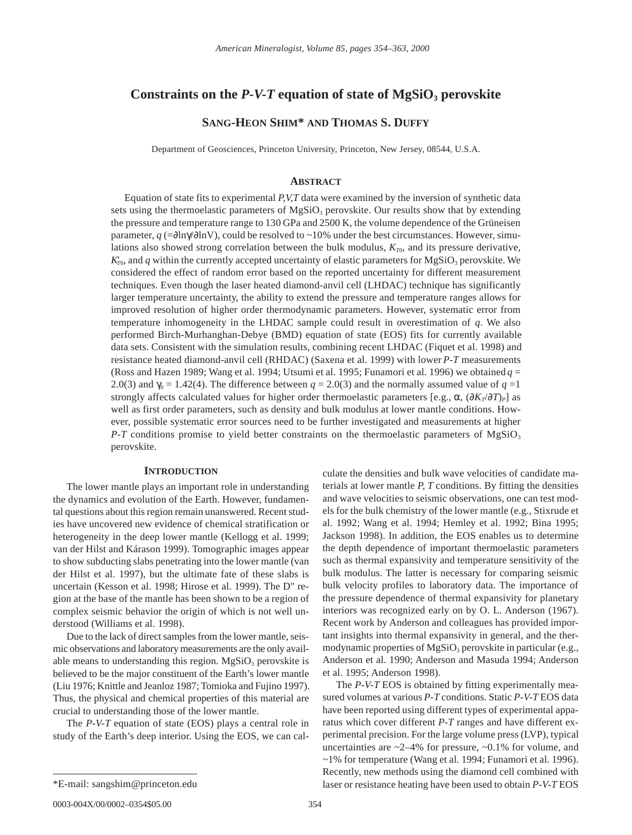# **Constraints on the** *P-V-T* **equation of state of MgSiO<sub>3</sub> perovskite**

# **SANG-HEON SHIM\* AND THOMAS S. DUFFY**

Department of Geosciences, Princeton University, Princeton, New Jersey, 08544, U.S.A.

#### **ABSTRACT**

Equation of state fits to experimental *P,V,T* data were examined by the inversion of synthetic data sets using the thermoelastic parameters of  $MgSiO<sub>3</sub>$  perovskite. Our results show that by extending the pressure and temperature range to 130 GPa and 2500 K, the volume dependence of the Grüneisen parameter, *q* (=∂lnγ/∂lnV), could be resolved to ~10% under the best circumstances. However, simulations also showed strong correlation between the bulk modulus,  $K_{T0}$ , and its pressure derivative,  $K_{T_0}$ , and *q* within the currently accepted uncertainty of elastic parameters for MgSiO<sub>3</sub> perovskite. We considered the effect of random error based on the reported uncertainty for different measurement techniques. Even though the laser heated diamond-anvil cell (LHDAC) technique has significantly larger temperature uncertainty, the ability to extend the pressure and temperature ranges allows for improved resolution of higher order thermodynamic parameters. However, systematic error from temperature inhomogeneity in the LHDAC sample could result in overestimation of *q*. We also performed Birch-Murhanghan-Debye (BMD) equation of state (EOS) fits for currently available data sets. Consistent with the simulation results, combining recent LHDAC (Fiquet et al. 1998) and resistance heated diamond-anvil cell (RHDAC) (Saxena et al. 1999) with lower *P-T* measurements (Ross and Hazen 1989; Wang et al. 1994; Utsumi et al. 1995; Funamori et al. 1996) we obtained  $q =$ 2.0(3) and  $\gamma_0 = 1.42(4)$ . The difference between  $q = 2.0(3)$  and the normally assumed value of  $q = 1$ strongly affects calculated values for higher order thermoelastic parameters [e.g.,  $\alpha$ ,  $(\partial K_T/\partial T)_P$ ] as well as first order parameters, such as density and bulk modulus at lower mantle conditions. However, possible systematic error sources need to be further investigated and measurements at higher  $P$ -T conditions promise to yield better constraints on the thermoelastic parameters of MgSiO<sub>3</sub> perovskite.

## **INTRODUCTION**

The lower mantle plays an important role in understanding the dynamics and evolution of the Earth. However, fundamental questions about this region remain unanswered. Recent studies have uncovered new evidence of chemical stratification or heterogeneity in the deep lower mantle (Kellogg et al. 1999; van der Hilst and Kárason 1999). Tomographic images appear to show subducting slabs penetrating into the lower mantle (van der Hilst et al. 1997), but the ultimate fate of these slabs is uncertain (Kesson et al. 1998; Hirose et al. 1999). The D" region at the base of the mantle has been shown to be a region of complex seismic behavior the origin of which is not well understood (Williams et al. 1998).

Due to the lack of direct samples from the lower mantle, seismic observations and laboratory measurements are the only available means to understanding this region.  $MgSiO<sub>3</sub>$  perovskite is believed to be the major constituent of the Earth's lower mantle (Liu 1976; Knittle and Jeanloz 1987; Tomioka and Fujino 1997). Thus, the physical and chemical properties of this material are crucial to understanding those of the lower mantle.

The *P-V-T* equation of state (EOS) plays a central role in study of the Earth's deep interior. Using the EOS, we can calculate the densities and bulk wave velocities of candidate materials at lower mantle *P, T* conditions. By fitting the densities and wave velocities to seismic observations, one can test models for the bulk chemistry of the lower mantle (e.g., Stixrude et al. 1992; Wang et al. 1994; Hemley et al. 1992; Bina 1995; Jackson 1998). In addition, the EOS enables us to determine the depth dependence of important thermoelastic parameters such as thermal expansivity and temperature sensitivity of the bulk modulus. The latter is necessary for comparing seismic bulk velocity profiles to laboratory data. The importance of the pressure dependence of thermal expansivity for planetary interiors was recognized early on by O. L. Anderson (1967). Recent work by Anderson and colleagues has provided important insights into thermal expansivity in general, and the thermodynamic properties of  $MgSiO<sub>3</sub>$  perovskite in particular (e.g., Anderson et al. 1990; Anderson and Masuda 1994; Anderson et al. 1995; Anderson 1998).

The *P-V-T* EOS is obtained by fitting experimentally measured volumes at various *P-T* conditions. Static *P-V-T* EOS data have been reported using different types of experimental apparatus which cover different *P-T* ranges and have different experimental precision. For the large volume press (LVP), typical uncertainties are  $\sim$  2–4% for pressure,  $\sim$  0.1% for volume, and ~1% for temperature (Wang et al. 1994; Funamori et al. 1996). Recently, new methods using the diamond cell combined with \*E-mail: sangshim@princeton.edu laser or resistance heating have been used to obtain *P-V-T* EOS

0003-004X/00/0002–0354\$05.00 354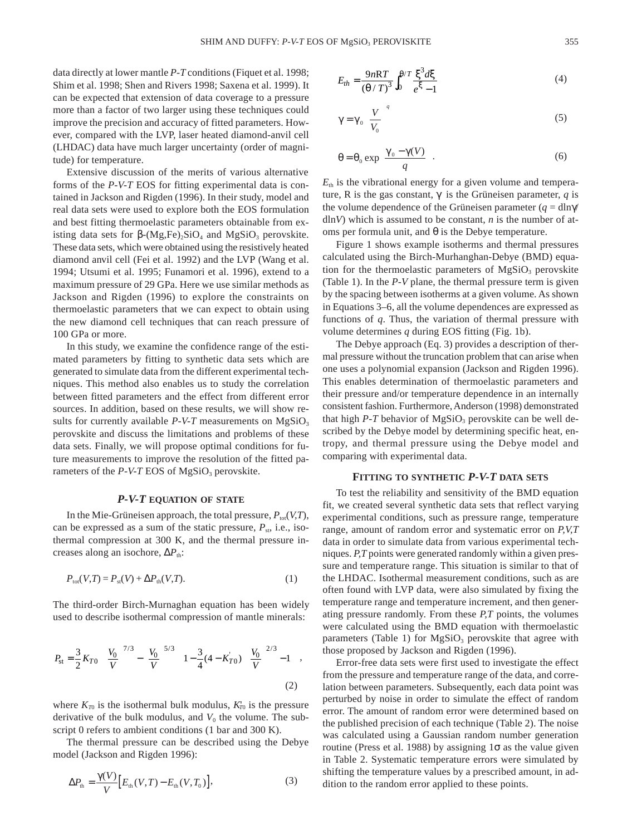data directly at lower mantle *P-T* conditions (Fiquet et al. 1998; Shim et al. 1998; Shen and Rivers 1998; Saxena et al. 1999). It can be expected that extension of data coverage to a pressure more than a factor of two larger using these techniques could improve the precision and accuracy of fitted parameters. However, compared with the LVP, laser heated diamond-anvil cell (LHDAC) data have much larger uncertainty (order of magnitude) for temperature.

Extensive discussion of the merits of various alternative forms of the *P-V-T* EOS for fitting experimental data is contained in Jackson and Rigden (1996). In their study, model and real data sets were used to explore both the EOS formulation and best fitting thermoelastic parameters obtainable from existing data sets for  $β$ -(Mg,Fe)<sub>2</sub>SiO<sub>4</sub> and MgSiO<sub>3</sub> perovskite. These data sets, which were obtained using the resistively heated diamond anvil cell (Fei et al. 1992) and the LVP (Wang et al. 1994; Utsumi et al. 1995; Funamori et al. 1996), extend to a maximum pressure of 29 GPa. Here we use similar methods as Jackson and Rigden (1996) to explore the constraints on thermoelastic parameters that we can expect to obtain using the new diamond cell techniques that can reach pressure of 100 GPa or more.

In this study, we examine the confidence range of the estimated parameters by fitting to synthetic data sets which are generated to simulate data from the different experimental techniques. This method also enables us to study the correlation between fitted parameters and the effect from different error sources. In addition, based on these results, we will show results for currently available  $P-V-T$  measurements on  $MgSiO<sub>3</sub>$ perovskite and discuss the limitations and problems of these data sets. Finally, we will propose optimal conditions for future measurements to improve the resolution of the fitted parameters of the  $P-V-T$  EOS of MgSiO<sub>3</sub> perovskite.

### *P-V-T* **EQUATION OF STATE**

In the Mie-Grüneisen approach, the total pressure,  $P_{\text{tot}}(V,T)$ , can be expressed as a sum of the static pressure,  $P_{\text{st}}$ , i.e., isothermal compression at 300 K, and the thermal pressure increases along an isochore, ΔP<sub>th</sub>:

$$
P_{\text{tot}}(V,T) = P_{\text{st}}(V) + \Delta P_{\text{th}}(V,T). \tag{1}
$$

The third-order Birch-Murnaghan equation has been widely used to describe isothermal compression of mantle minerals:

$$
P_{\rm st} = \frac{3}{2} K_{T0} \left[ \left( \frac{V_0}{V} \right)^{7/3} - \left( \frac{V_0}{V} \right)^{5/3} \right] \left\{ 1 - \frac{3}{4} (4 - K_{T0}) \left[ \left( \frac{V_0}{V} \right)^{2/3} - 1 \right] \right\},\tag{2}
$$

where  $K_{T0}$  is the isothermal bulk modulus,  $K'_{T0}$  is the pressure derivative of the bulk modulus, and  $V_0$  the volume. The subscript 0 refers to ambient conditions (1 bar and 300 K).

The thermal pressure can be described using the Debye model (Jackson and Rigden 1996):

$$
\Delta P_{\text{th}} = \frac{\gamma(V)}{V} \Big[ E_{\text{th}}(V, T) - E_{\text{th}}(V, T_0) \Big],\tag{3}
$$

$$
E_{th} = \frac{9nRT}{\left(\theta/T\right)^3} \int_0^{\theta/T} \frac{\xi^3 d\xi}{e^{\xi} - 1} \tag{4}
$$

$$
\gamma = \gamma_0 \left(\frac{V}{V_0}\right)^q \tag{5}
$$

$$
\theta = \theta_0 \exp\left(\frac{\gamma_0 - \gamma(V)}{q}\right). \tag{6}
$$

 $E<sub>th</sub>$  is the vibrational energy for a given volume and temperature, R is the gas constant,  $\gamma$  is the Grüneisen parameter, *q* is the volume dependence of the Grüneisen parameter  $(q = \text{dln}\gamma)$ dln*V*) which is assumed to be constant, *n* is the number of atoms per formula unit, and  $θ$  is the Debye temperature.

Figure 1 shows example isotherms and thermal pressures calculated using the Birch-Murhanghan-Debye (BMD) equation for the thermoelastic parameters of  $MgSiO<sub>3</sub>$  perovskite (Table 1). In the *P-V* plane, the thermal pressure term is given by the spacing between isotherms at a given volume. As shown in Equations 3–6, all the volume dependences are expressed as functions of *q*. Thus, the variation of thermal pressure with volume determines *q* during EOS fitting (Fig. 1b).

The Debye approach (Eq. 3) provides a description of thermal pressure without the truncation problem that can arise when one uses a polynomial expansion (Jackson and Rigden 1996). This enables determination of thermoelastic parameters and their pressure and/or temperature dependence in an internally consistent fashion. Furthermore, Anderson (1998) demonstrated that high  $P-T$  behavior of MgSiO<sub>3</sub> perovskite can be well described by the Debye model by determining specific heat, entropy, and thermal pressure using the Debye model and comparing with experimental data.

## **FITTING TO SYNTHETIC** *P-V-T* **DATA SETS**

To test the reliability and sensitivity of the BMD equation fit, we created several synthetic data sets that reflect varying experimental conditions, such as pressure range, temperature range, amount of random error and systematic error on *P,V,T* data in order to simulate data from various experimental techniques. *P,T* points were generated randomly within a given pressure and temperature range. This situation is similar to that of the LHDAC. Isothermal measurement conditions, such as are often found with LVP data, were also simulated by fixing the temperature range and temperature increment, and then generating pressure randomly. From these *P,T* points, the volumes were calculated using the BMD equation with thermoelastic parameters (Table 1) for  $MgSiO<sub>3</sub>$  perovskite that agree with those proposed by Jackson and Rigden (1996).

Error-free data sets were first used to investigate the effect from the pressure and temperature range of the data, and correlation between parameters. Subsequently, each data point was perturbed by noise in order to simulate the effect of random error. The amount of random error were determined based on the published precision of each technique (Table 2). The noise was calculated using a Gaussian random number generation routine (Press et al. 1988) by assigning 1σ as the value given in Table 2. Systematic temperature errors were simulated by shifting the temperature values by a prescribed amount, in addition to the random error applied to these points.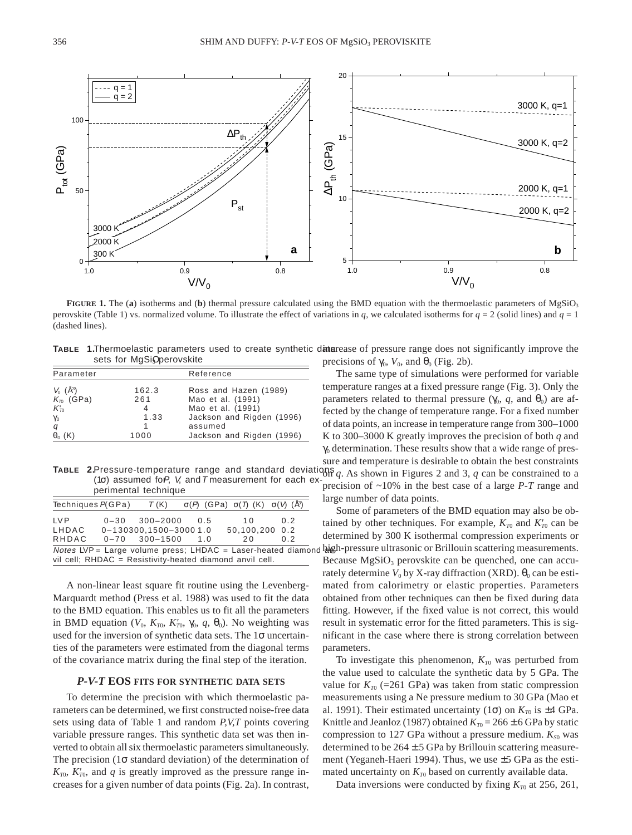

**FIGURE 1.** The (a) isotherms and (b) thermal pressure calculated using the BMD equation with the thermoelastic parameters of MgSiO<sub>3</sub> perovskite (Table 1) vs. normalized volume. To illustrate the effect of variations in *q*, we calculated isotherms for  $q = 2$  (solid lines) and  $q = 1$ (dashed lines).

TABLE 1.Thermoelastic parameters used to create synthetic datarease of pressure range does not significantly improve the sets for MgSiOperovskite

| Parameter                    |       | Reference                 |  |  |
|------------------------------|-------|---------------------------|--|--|
| $V_0$ ( $\AA$ <sup>3</sup> ) | 162.3 | Ross and Hazen (1989)     |  |  |
| $K_{\tau 0}$ (GPa)           | 261   | Mao et al. (1991)         |  |  |
| $K_{T}$                      |       | Mao et al. (1991)         |  |  |
| $\gamma_0$                   | 1.33  | Jackson and Rigden (1996) |  |  |
| q                            |       | assumed                   |  |  |
| $\theta_0$ (K)               | 1000  | Jackson and Rigden (1996) |  |  |

**TABLE 2.**Pressure-temperature range and standard deviations  $q$ . As shown in Figures 2 and 3,  $q$  can be constrained to a perimental technique

| Techniques $P(GPa)$ | T(K)                        | $\sigma(P)$ (GPa) $\sigma(T)$ (K) $\sigma(V)$ (Å <sup>3</sup> )  |     |
|---------------------|-----------------------------|------------------------------------------------------------------|-----|
| I V P               | $0-30$ $300-2000$ 0.5       | 1 O                                                              | 0 2 |
| LHDAC               | $0 - 130300.1500 - 30001.0$ | 50.100.200 0.2                                                   |     |
| RHDAC               | $0 - 70$ 300-1500 1.0       | 2 O                                                              | 02  |
|                     |                             | Notes LVP = Large volume press; LHDAC = Laser-heated diamond big |     |
|                     |                             | vil cell; RHDAC = Resistivity-heated diamond anvil cell.         |     |

A non-linear least square fit routine using the Levenberg-Marquardt method (Press et al. 1988) was used to fit the data to the BMD equation. This enables us to fit all the parameters in BMD equation ( $V_0$ ,  $K_{T0}$ ,  $K'_{T0}$ ,  $\gamma_0$ ,  $q$ ,  $\theta_0$ ). No weighting was used for the inversion of synthetic data sets. The 1σ uncertainties of the parameters were estimated from the diagonal terms of the covariance matrix during the final step of the iteration.

## *P-V-T* **EOS FITS FOR SYNTHETIC DATA SETS**

To determine the precision with which thermoelastic parameters can be determined, we first constructed noise-free data sets using data of Table 1 and random *P,V,T* points covering variable pressure ranges. This synthetic data set was then inverted to obtain all six thermoelastic parameters simultaneously. The precision ( $1\sigma$  standard deviation) of the determination of  $K_{T0}$ ,  $K'_{T0}$ , and *q* is greatly improved as the pressure range increases for a given number of data points (Fig. 2a). In contrast, precisions of  $\gamma_0$ ,  $V_0$ , and  $\theta_0$  (Fig. 2b).

The same type of simulations were performed for variable temperature ranges at a fixed pressure range (Fig. 3). Only the parameters related to thermal pressure ( $\gamma_0$ , *q*, and  $\theta_0$ ) are affected by the change of temperature range. For a fixed number of data points, an increase in temperature range from 300–1000 K to 300–3000 K greatly improves the precision of both *q* and  $\gamma_0$  determination. These results show that a wide range of pressure and temperature is desirable to obtain the best constraints

(1σ) assumed for, V, and T measurement for each ex-<br>precision of ~10% in the best case of a large *P-T* range and<br>precision of ~10% in the best case of a large *P-T* range and large number of data points.

> Some of parameters of the BMD equation may also be obtained by other techniques. For example,  $K_{T0}$  and  $K'_{T0}$  can be determined by 300 K isothermal compression experiments or d bigh-pressure ultrasonic or Brillouin scattering measurements. Because  $MgSiO<sub>3</sub>$  perovskite can be quenched, one can accurately determine  $V_0$  by X-ray diffraction (XRD).  $\theta_0$  can be estimated from calorimetry or elastic properties. Parameters obtained from other techniques can then be fixed during data fitting. However, if the fixed value is not correct, this would result in systematic error for the fitted parameters. This is significant in the case where there is strong correlation between parameters.

To investigate this phenomenon,  $K_{T0}$  was perturbed from the value used to calculate the synthetic data by 5 GPa. The value for  $K_{T0}$  (=261 GPa) was taken from static compression measurements using a Ne pressure medium to 30 GPa (Mao et al. 1991). Their estimated uncertainty (1 $\sigma$ ) on  $K_{\tau_0}$  is  $\pm 4$  GPa. Knittle and Jeanloz (1987) obtained  $K_{T0} = 266 \pm 6$  GPa by static compression to 127 GPa without a pressure medium.  $K_{S0}$  was determined to be  $264 \pm 5$  GPa by Brillouin scattering measurement (Yeganeh-Haeri 1994). Thus, we use ±5 GPa as the estimated uncertainty on  $K_{T0}$  based on currently available data.

Data inversions were conducted by fixing  $K_{T0}$  at 256, 261,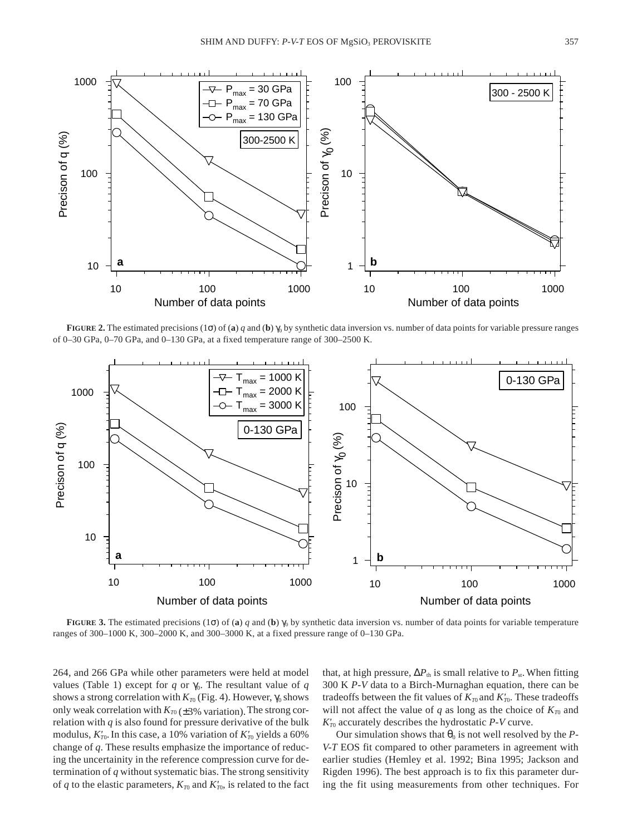

**FIGURE 2.** The estimated precisions (1 $\sigma$ ) of (**a**) *q* and (**b**)  $\gamma_0$  by synthetic data inversion vs. number of data points for variable pressure ranges of 0–30 GPa, 0–70 GPa, and 0–130 GPa, at a fixed temperature range of 300–2500 K.



**FIGURE 3.** The estimated precisions (1 $\sigma$ ) of (**a**) *q* and (**b**)  $\gamma_0$  by synthetic data inversion vs. number of data points for variable temperature ranges of 300–1000 K, 300–2000 K, and 300–3000 K, at a fixed pressure range of 0–130 GPa.

264, and 266 GPa while other parameters were held at model values (Table 1) except for *q* or  $\gamma_0$ . The resultant value of *q* shows a strong correlation with  $K_{T0}$  (Fig. 4). However,  $\gamma_0$  shows only weak correlation with  $K_{T0} (\pm 3\%$  variation). The strong correlation with  $q$  is also found for pressure derivative of the bulk modulus,  $K'_{T0}$ . In this case, a 10% variation of  $K'_{T0}$  yields a 60% change of *q*. These results emphasize the importance of reducing the uncertainity in the reference compression curve for determination of *q* without systematic bias. The strong sensitivity of *q* to the elastic parameters,  $K_{T0}$  and  $K'_{T0}$ , is related to the fact that, at high pressure,  $\Delta P_{\text{th}}$  is small relative to  $P_{\text{st}}$ . When fitting 300 K *P-V* data to a Birch-Murnaghan equation, there can be tradeoffs between the fit values of  $K_{T0}$  and  $K'_{T0}$ . These tradeoffs will not affect the value of  $q$  as long as the choice of  $K_{T0}$  and  $K'_{T0}$  accurately describes the hydrostatic *P-V* curve.

Our simulation shows that  $\theta_0$  is not well resolved by the *P*-*V-T* EOS fit compared to other parameters in agreement with earlier studies (Hemley et al. 1992; Bina 1995; Jackson and Rigden 1996). The best approach is to fix this parameter during the fit using measurements from other techniques. For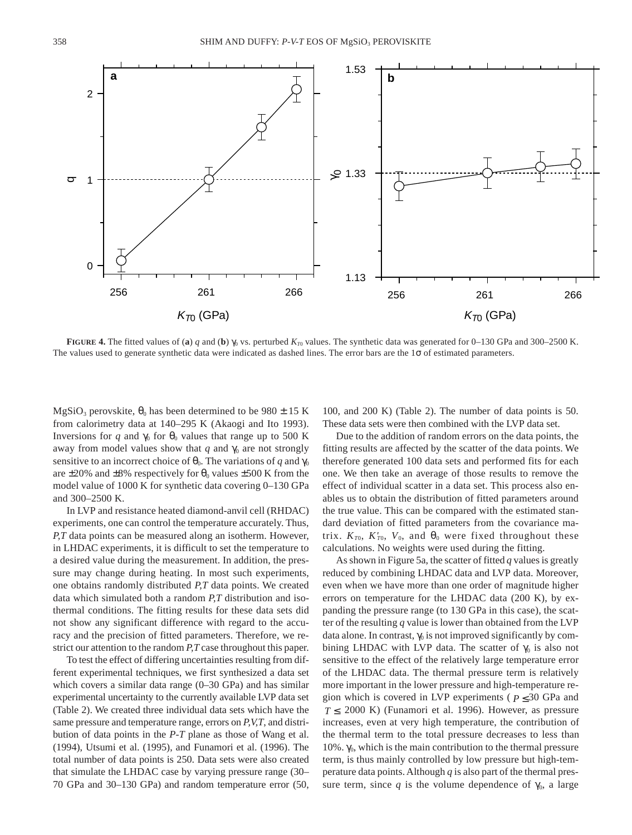**FIGURE 4.** The fitted values of (a) *q* and (b)  $\gamma_0$  vs. perturbed  $K_{T0}$  values. The synthetic data was generated for 0–130 GPa and 300–2500 K. The values used to generate synthetic data were indicated as dashed lines. The error bars are the  $1\sigma$  of estimated parameters.

MgSiO<sub>3</sub> perovskite,  $\theta_0$  has been determined to be 980  $\pm$  15 K from calorimetry data at 140–295 K (Akaogi and Ito 1993). Inversions for *q* and  $\gamma_0$  for  $\theta_0$  values that range up to 500 K away from model values show that  $q$  and  $\gamma_0$  are not strongly sensitive to an incorrect choice of  $\theta_0$ . The variations of *q* and  $\gamma_0$ are  $\pm 20\%$  and  $\pm 8\%$  respectively for  $\theta_0$  values  $\pm 500$  K from the model value of 1000 K for synthetic data covering 0–130 GPa and 300–2500 K.

In LVP and resistance heated diamond-anvil cell (RHDAC) experiments, one can control the temperature accurately. Thus, *P,T* data points can be measured along an isotherm. However, in LHDAC experiments, it is difficult to set the temperature to a desired value during the measurement. In addition, the pressure may change during heating. In most such experiments, one obtains randomly distributed *P,T* data points. We created data which simulated both a random *P,T* distribution and isothermal conditions. The fitting results for these data sets did not show any significant difference with regard to the accuracy and the precision of fitted parameters. Therefore, we restrict our attention to the random *P,T* case throughout this paper.

To test the effect of differing uncertainties resulting from different experimental techniques, we first synthesized a data set which covers a similar data range (0–30 GPa) and has similar experimental uncertainty to the currently available LVP data set (Table 2). We created three individual data sets which have the same pressure and temperature range, errors on *P,V,T*, and distribution of data points in the *P-T* plane as those of Wang et al. (1994), Utsumi et al. (1995), and Funamori et al. (1996). The total number of data points is 250. Data sets were also created that simulate the LHDAC case by varying pressure range (30– 70 GPa and 30–130 GPa) and random temperature error (50,

100, and 200 K) (Table 2). The number of data points is 50. These data sets were then combined with the LVP data set.

Due to the addition of random errors on the data points, the fitting results are affected by the scatter of the data points. We therefore generated 100 data sets and performed fits for each one. We then take an average of those results to remove the effect of individual scatter in a data set. This process also enables us to obtain the distribution of fitted parameters around the true value. This can be compared with the estimated standard deviation of fitted parameters from the covariance matrix.  $K_{T0}$ ,  $K'_{T0}$ ,  $V_0$ , and  $\theta_0$  were fixed throughout these calculations. No weights were used during the fitting.

As shown in Figure 5a, the scatter of fitted *q* values is greatly reduced by combining LHDAC data and LVP data. Moreover, even when we have more than one order of magnitude higher errors on temperature for the LHDAC data (200 K), by expanding the pressure range (to 130 GPa in this case), the scatter of the resulting *q* value is lower than obtained from the LVP data alone. In contrast,  $\gamma_0$  is not improved significantly by combining LHDAC with LVP data. The scatter of  $\gamma_0$  is also not sensitive to the effect of the relatively large temperature error of the LHDAC data. The thermal pressure term is relatively more important in the lower pressure and high-temperature region which is covered in LVP experiments ( $P \leq 30$  GPa and  $T \le 2000$  K) (Funamori et al. 1996). However, as pressure increases, even at very high temperature, the contribution of the thermal term to the total pressure decreases to less than 10%.  $\gamma_0$ , which is the main contribution to the thermal pressure term, is thus mainly controlled by low pressure but high-temperature data points. Although *q* is also part of the thermal pressure term, since *q* is the volume dependence of  $\gamma_0$ , a large

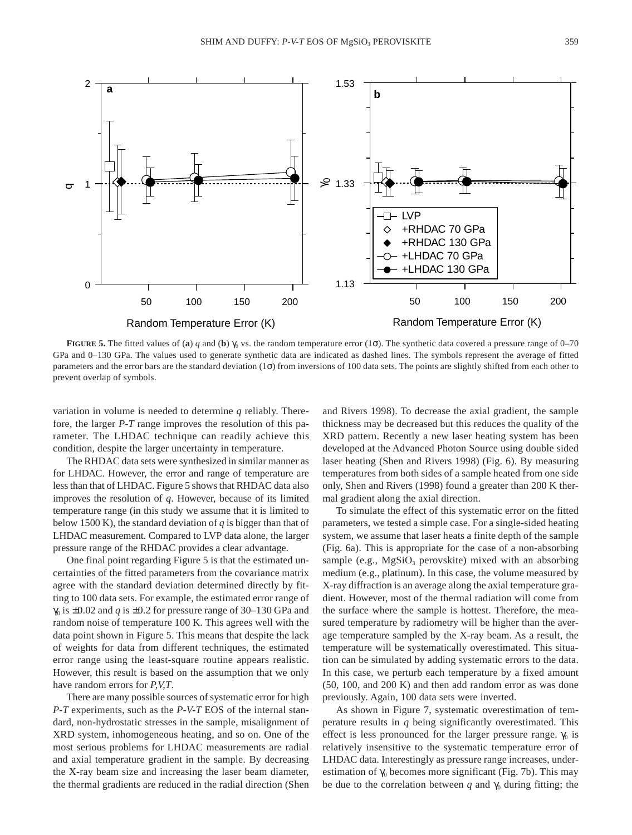

**FIGURE 5.** The fitted values of (**a**) *q* and (**b**)  $\gamma_0$  vs. the random temperature error (1 $\sigma$ ). The synthetic data covered a pressure range of 0–70 GPa and 0–130 GPa. The values used to generate synthetic data are indicated as dashed lines. The symbols represent the average of fitted parameters and the error bars are the standard deviation  $(1\sigma)$  from inversions of 100 data sets. The points are slightly shifted from each other to prevent overlap of symbols.

variation in volume is needed to determine *q* reliably. Therefore, the larger *P-T* range improves the resolution of this parameter. The LHDAC technique can readily achieve this condition, despite the larger uncertainty in temperature.

The RHDAC data sets were synthesized in similar manner as for LHDAC. However, the error and range of temperature are less than that of LHDAC. Figure 5 shows that RHDAC data also improves the resolution of *q*. However, because of its limited temperature range (in this study we assume that it is limited to below 1500 K), the standard deviation of  $q$  is bigger than that of LHDAC measurement. Compared to LVP data alone, the larger pressure range of the RHDAC provides a clear advantage.

One final point regarding Figure 5 is that the estimated uncertainties of the fitted parameters from the covariance matrix agree with the standard deviation determined directly by fitting to 100 data sets. For example, the estimated error range of  $\gamma_0$  is  $\pm 0.02$  and *q* is  $\pm 0.2$  for pressure range of 30–130 GPa and random noise of temperature 100 K. This agrees well with the data point shown in Figure 5. This means that despite the lack of weights for data from different techniques, the estimated error range using the least-square routine appears realistic. However, this result is based on the assumption that we only have random errors for *P,V,T*.

There are many possible sources of systematic error for high *P-T* experiments, such as the *P-V-T* EOS of the internal standard, non-hydrostatic stresses in the sample, misalignment of XRD system, inhomogeneous heating, and so on. One of the most serious problems for LHDAC measurements are radial and axial temperature gradient in the sample. By decreasing the X-ray beam size and increasing the laser beam diameter, the thermal gradients are reduced in the radial direction (Shen

and Rivers 1998). To decrease the axial gradient, the sample thickness may be decreased but this reduces the quality of the XRD pattern. Recently a new laser heating system has been developed at the Advanced Photon Source using double sided laser heating (Shen and Rivers 1998) (Fig. 6). By measuring temperatures from both sides of a sample heated from one side only, Shen and Rivers (1998) found a greater than 200 K thermal gradient along the axial direction.

To simulate the effect of this systematic error on the fitted parameters, we tested a simple case. For a single-sided heating system, we assume that laser heats a finite depth of the sample (Fig. 6a). This is appropriate for the case of a non-absorbing sample (e.g.,  $MgSiO<sub>3</sub>$  perovskite) mixed with an absorbing medium (e.g., platinum). In this case, the volume measured by X-ray diffraction is an average along the axial temperature gradient. However, most of the thermal radiation will come from the surface where the sample is hottest. Therefore, the measured temperature by radiometry will be higher than the average temperature sampled by the X-ray beam. As a result, the temperature will be systematically overestimated. This situation can be simulated by adding systematic errors to the data. In this case, we perturb each temperature by a fixed amount (50, 100, and 200 K) and then add random error as was done previously. Again, 100 data sets were inverted.

As shown in Figure 7, systematic overestimation of temperature results in *q* being significantly overestimated. This effect is less pronounced for the larger pressure range.  $\gamma_0$  is relatively insensitive to the systematic temperature error of LHDAC data. Interestingly as pressure range increases, underestimation of  $\gamma_0$  becomes more significant (Fig. 7b). This may be due to the correlation between *q* and  $\gamma_0$  during fitting; the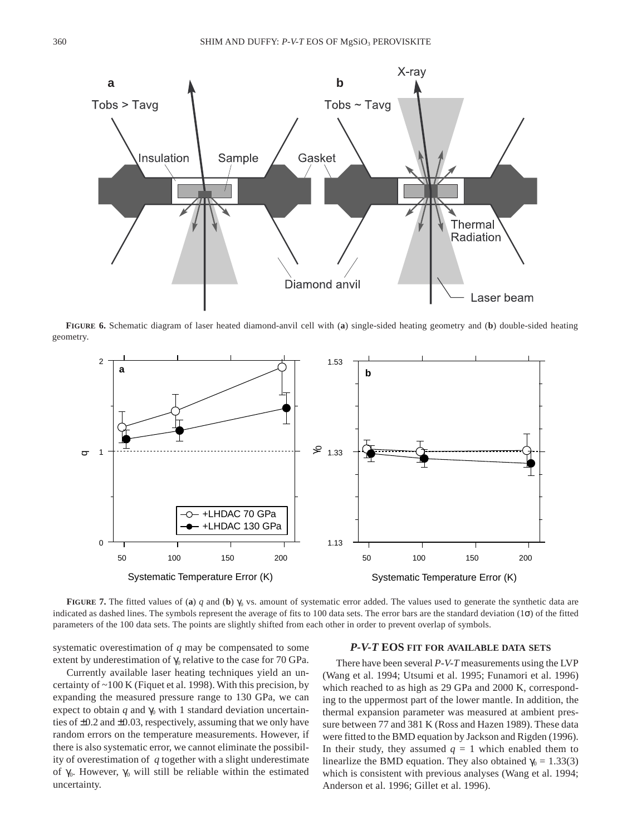

**FIGURE 6.** Schematic diagram of laser heated diamond-anvil cell with (**a**) single-sided heating geometry and (**b**) double-sided heating geometry.



**FIGURE 7.** The fitted values of (**a**) *q* and (**b**)  $\gamma_0$  vs. amount of systematic error added. The values used to generate the synthetic data are indicated as dashed lines. The symbols represent the average of fits to 100 data sets. The error bars are the standard deviation (1σ) of the fitted parameters of the 100 data sets. The points are slightly shifted from each other in order to prevent overlap of symbols.

systematic overestimation of *q* may be compensated to some extent by underestimation of  $\gamma_0$  relative to the case for 70 GPa.

Currently available laser heating techniques yield an uncertainty of ~100 K (Fiquet et al. 1998). With this precision, by expanding the measured pressure range to 130 GPa, we can expect to obtain  $q$  and  $\gamma_0$  with 1 standard deviation uncertainties of ±0.2 and ±0.03, respectively, assuming that we only have random errors on the temperature measurements. However, if there is also systematic error, we cannot eliminate the possibility of overestimation of *q* together with a slight underestimate of γ<sub>0</sub>. However, γ<sub>0</sub> will still be reliable within the estimated uncertainty.

### *P-V-T* **EOS FIT FOR AVAILABLE DATA SETS**

There have been several *P-V-T* measurements using the LVP (Wang et al. 1994; Utsumi et al. 1995; Funamori et al. 1996) which reached to as high as 29 GPa and 2000 K, corresponding to the uppermost part of the lower mantle. In addition, the thermal expansion parameter was measured at ambient pressure between 77 and 381 K (Ross and Hazen 1989). These data were fitted to the BMD equation by Jackson and Rigden (1996). In their study, they assumed  $q = 1$  which enabled them to linearlize the BMD equation. They also obtained  $\gamma_0 = 1.33(3)$ which is consistent with previous analyses (Wang et al. 1994; Anderson et al. 1996; Gillet et al. 1996).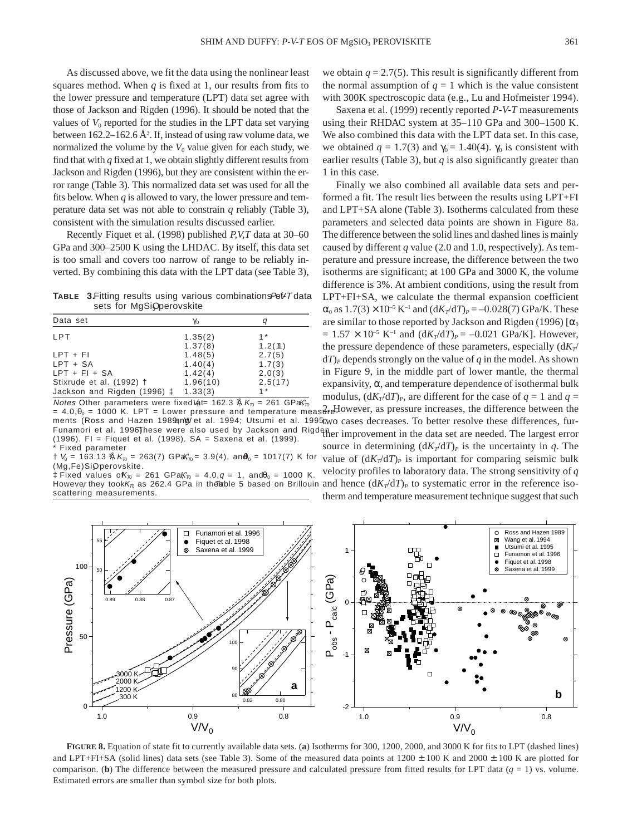As discussed above, we fit the data using the nonlinear least squares method. When  $q$  is fixed at 1, our results from fits to the lower pressure and temperature (LPT) data set agree with those of Jackson and Rigden (1996). It should be noted that the values of  $V_0$  reported for the studies in the LPT data set varying between  $162.2 - 162.6$  Å<sup>3</sup>. If, instead of using raw volume data, we normalized the volume by the  $V_0$  value given for each study, we find that with *q* fixed at 1, we obtain slightly different results from Jackson and Rigden (1996), but they are consistent within the error range (Table 3). This normalized data set was used for all the fits below. When  $q$  is allowed to vary, the lower pressure and temperature data set was not able to constrain *q* reliably (Table 3), consistent with the simulation results discussed earlier.

Recently Fiquet et al. (1998) published *P,V,T* data at 30–60 GPa and 300–2500 K using the LHDAC. By itself, this data set is too small and covers too narrow of range to be reliably inverted. By combining this data with the LPT data (see Table 3),

**TABLE 3.Fitting results using various combinations Pol-VT data** sets for MgSiOperovskite

| Data set                    | Yo       | a       |  |  |
|-----------------------------|----------|---------|--|--|
| LPT                         | 1.35(2)  | $1*$    |  |  |
|                             | 1.37(8)  | 1.2(11) |  |  |
| $LPT + FI$                  | 1.48(5)  | 2.7(5)  |  |  |
| $LPT + SA$                  | 1.40(4)  | 1.7(3)  |  |  |
| $LPT + FI + SA$             | 1.42(4)  | 2.0(3)  |  |  |
| Stixrude et al. (1992) †    | 1.96(10) | 2.5(17) |  |  |
| Jackson and Rigden (1996) ‡ | 1.33(3)  | $1 *$   |  |  |

 $2.40, \theta_0 = 1000$  K. LPT = Lower pressure and temperature measure However, as pressure increases, the difference between the ments (Ross and Hazen 1989an)/ et al. 1994; Utsumi et al. 1995; wo cases decreases. To better resolve these differences, fur-Funamori et al. 1996) hese were also used by Jackson and Rigden<br>(1996). Fl. – Figuet et al. (1998). SA – Saxona et al. (1999). N*otes* Other parameters were fixedVat= 162.3  $\text{\AA}$  K $_{\text{\tiny{(D)}}}$  = 261 GPaK $_{\text{\tiny{(D)}}}$ (1996). FI = Fiquet et al. (1998). SA = Saxena et al. (1999). Fixed parameter

 $\dagger$  V $_{\rm 0}$  = 163.13  $\%$  K $_{\rm \mathcal{D}}$  = 263(7) GPaK $_{\rm \mathcal{D}}$ = 3.9(4), an $\bm{\theta}_{\rm 0}$  = 1017(7) K for (Mg,Fe)SiOperovskite.

However they took $\vec{K_n}$  as 262.4 GPa in the reference 5 based on Brillouin and hence  $(dK_T/dT)_P$  to systematic error in the reference iso-‡ Fixed values o $K_{\pi0} = 261$  GPa $K_{\pi0} = 4.0, q = 1$ , and θ<sub>0</sub> = 1000 K. scattering measurements.

we obtain  $q = 2.7(5)$ . This result is significantly different from the normal assumption of  $q = 1$  which is the value consistent with 300K spectroscopic data (e.g., Lu and Hofmeister 1994).

Saxena et al. (1999) recently reported *P-V-T* measurements using their RHDAC system at 35–110 GPa and 300–1500 K. We also combined this data with the LPT data set. In this case, we obtained  $q = 1.7(3)$  and  $\gamma_0 = 1.40(4)$ .  $\gamma_0$  is consistent with earlier results (Table 3), but  $q$  is also significantly greater than 1 in this case.

Finally we also combined all available data sets and performed a fit. The result lies between the results using LPT+FI and LPT+SA alone (Table 3). Isotherms calculated from these parameters and selected data points are shown in Figure 8a. The difference between the solid lines and dashed lines is mainly caused by different *q* value (2.0 and 1.0, respectively). As temperature and pressure increase, the difference between the two isotherms are significant; at 100 GPa and 3000 K, the volume difference is 3%. At ambient conditions, using the result from LPT+FI+SA, we calculate the thermal expansion coefficient  $\alpha_0$  as  $1.7(3) \times 10^{-5}$  K<sup>-1</sup> and  $(dK_T/dT)_P = -0.028(7)$  GPa/K. These are similar to those reported by Jackson and Rigden (1996) [ $\alpha_0$  $= 1.57 \times 10^{-5}$  K<sup>-1</sup> and  $(dK_T/dT)_P = -0.021$  GPa/K]. However, the pressure dependence of these parameters, especially  $(dK_T)$  $dT$ <sup>*P*</sup> depends strongly on the value of *q* in the model. As shown in Figure 9, in the middle part of lower mantle, the thermal expansivity,  $\alpha$ , and temperature dependence of isothermal bulk modulus,  $(dK_T/dT)_P$ , are different for the case of  $q = 1$  and  $q =$ 

source in determining  $\left(\frac{dK_T}{dT}\right)$ *P* is the uncertainty in *q*. The value of  $(dK_T/dT)_P$  is important for comparing seismic bulk velocity profiles to laboratory data. The strong sensitivity of *q* therm and temperature measurement technique suggest that such



**FIGURE 8.** Equation of state fit to currently available data sets. (**a**) Isotherms for 300, 1200, 2000, and 3000 K for fits to LPT (dashed lines) and LPT+FI+SA (solid lines) data sets (see Table 3). Some of the measured data points at  $1200 \pm 100$  K and  $2000 \pm 100$  K are plotted for comparison. (b) The difference between the measured pressure and calculated pressure from fitted results for LPT data  $(q = 1)$  vs. volume. Estimated errors are smaller than symbol size for both plots.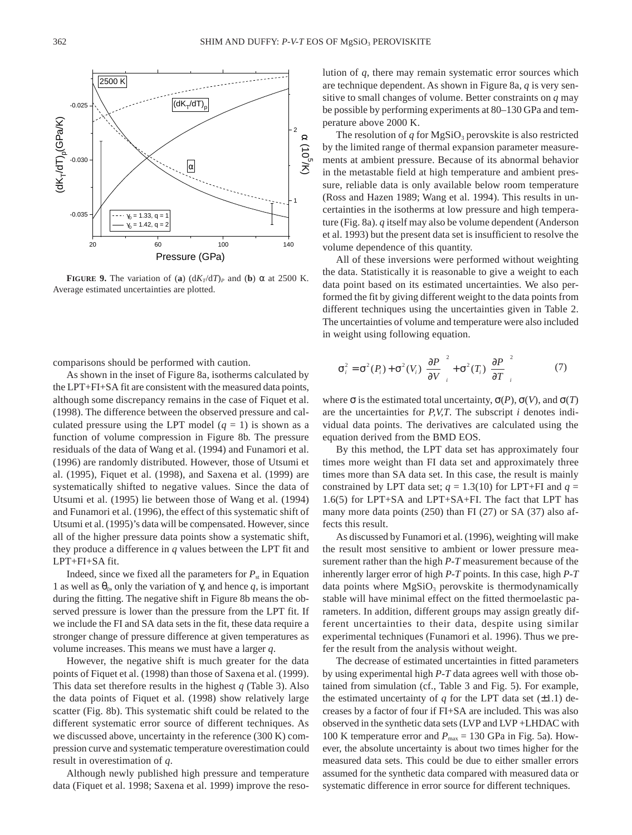

**FIGURE 9.** The variation of (**a**)  $(dK_T/dT)$ <sup>*p*</sup> and (**b**)  $\alpha$  at 2500 K. Average estimated uncertainties are plotted.

comparisons should be performed with caution.

As shown in the inset of Figure 8a, isotherms calculated by the LPT+FI+SA fit are consistent with the measured data points, although some discrepancy remains in the case of Fiquet et al. (1998). The difference between the observed pressure and calculated pressure using the LPT model  $(q = 1)$  is shown as a function of volume compression in Figure 8b. The pressure residuals of the data of Wang et al. (1994) and Funamori et al. (1996) are randomly distributed. However, those of Utsumi et al. (1995), Fiquet et al. (1998), and Saxena et al. (1999) are systematically shifted to negative values. Since the data of Utsumi et al. (1995) lie between those of Wang et al. (1994) and Funamori et al. (1996), the effect of this systematic shift of Utsumi et al. (1995)'s data will be compensated. However, since all of the higher pressure data points show a systematic shift, they produce a difference in *q* values between the LPT fit and LPT+FI+SA fit.

Indeed, since we fixed all the parameters for  $P_{st}$  in Equation 1 as well as  $θ_0$ , only the variation of  $γ$ , and hence *q*, is important during the fitting. The negative shift in Figure 8b means the observed pressure is lower than the pressure from the LPT fit. If we include the FI and SA data sets in the fit, these data require a stronger change of pressure difference at given temperatures as volume increases. This means we must have a larger *q*.

However, the negative shift is much greater for the data points of Fiquet et al. (1998) than those of Saxena et al. (1999). This data set therefore results in the highest *q* (Table 3). Also the data points of Fiquet et al. (1998) show relatively large scatter (Fig. 8b). This systematic shift could be related to the different systematic error source of different techniques. As we discussed above, uncertainty in the reference (300 K) compression curve and systematic temperature overestimation could result in overestimation of *q*.

Although newly published high pressure and temperature data (Fiquet et al. 1998; Saxena et al. 1999) improve the resolution of *q*, there may remain systematic error sources which are technique dependent. As shown in Figure 8a, *q* is very sensitive to small changes of volume. Better constraints on *q* may be possible by performing experiments at 80–130 GPa and temperature above 2000 K.

The resolution of  $q$  for MgSiO<sub>3</sub> perovskite is also restricted by the limited range of thermal expansion parameter measurements at ambient pressure. Because of its abnormal behavior in the metastable field at high temperature and ambient pressure, reliable data is only available below room temperature (Ross and Hazen 1989; Wang et al. 1994). This results in uncertainties in the isotherms at low pressure and high temperature (Fig. 8a). *q* itself may also be volume dependent (Anderson et al. 1993) but the present data set is insufficient to resolve the volume dependence of this quantity.

All of these inversions were performed without weighting the data. Statistically it is reasonable to give a weight to each data point based on its estimated uncertainties. We also performed the fit by giving different weight to the data points from different techniques using the uncertainties given in Table 2. The uncertainties of volume and temperature were also included in weight using following equation.

$$
\sigma_i^2 = \sigma^2(P_i) + \sigma^2(V_i) \left(\frac{\partial P}{\partial V}\right)_i^2 + \sigma^2(T_i) \left(\frac{\partial P}{\partial T}\right)_i^2
$$
 (7)

where  $\sigma$  is the estimated total uncertainty,  $\sigma(P)$ ,  $\sigma(V)$ , and  $\sigma(T)$ are the uncertainties for *P,V,T*. The subscript *i* denotes individual data points. The derivatives are calculated using the equation derived from the BMD EOS.

By this method, the LPT data set has approximately four times more weight than FI data set and approximately three times more than SA data set. In this case, the result is mainly constrained by LPT data set;  $q = 1.3(10)$  for LPT+FI and  $q =$ 1.6(5) for LPT+SA and LPT+SA+FI. The fact that LPT has many more data points (250) than FI (27) or SA (37) also affects this result.

As discussed by Funamori et al. (1996), weighting will make the result most sensitive to ambient or lower pressure measurement rather than the high *P-T* measurement because of the inherently larger error of high *P-T* points. In this case, high *P-T* data points where  $MgSiO<sub>3</sub>$  perovskite is thermodynamically stable will have minimal effect on the fitted thermoelastic parameters. In addition, different groups may assign greatly different uncertainties to their data, despite using similar experimental techniques (Funamori et al. 1996). Thus we prefer the result from the analysis without weight.

The decrease of estimated uncertainties in fitted parameters by using experimental high *P-T* data agrees well with those obtained from simulation (cf., Table 3 and Fig. 5). For example, the estimated uncertainty of  $q$  for the LPT data set  $(\pm 1.1)$  decreases by a factor of four if FI+SA are included. This was also observed in the synthetic data sets (LVP and LVP +LHDAC with 100 K temperature error and  $P_{\text{max}} = 130$  GPa in Fig. 5a). However, the absolute uncertainty is about two times higher for the measured data sets. This could be due to either smaller errors assumed for the synthetic data compared with measured data or systematic difference in error source for different techniques.